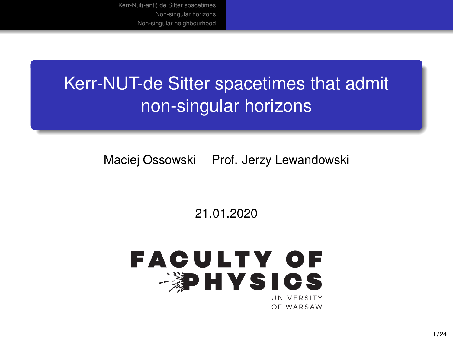# Kerr-NUT-de Sitter spacetimes that admit non-singular horizons

Maciej Ossowski Prof. Jerzy Lewandowski

21.01.2020

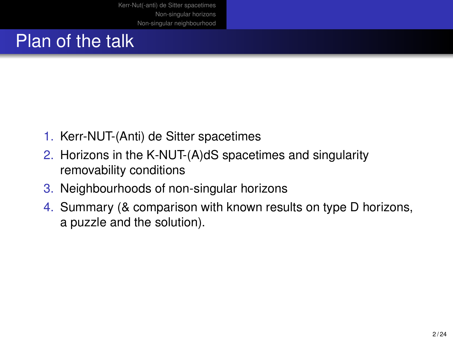# Plan of the talk

- 1. Kerr-NUT-(Anti) de Sitter spacetimes
- 2. Horizons in the K-NUT-(A)dS spacetimes and singularity removability conditions
- 3. Neighbourhoods of non-singular horizons
- 4. Summary (& comparison with known results on type D horizons, a puzzle and the solution).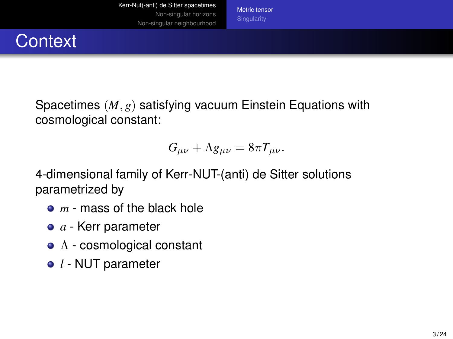[Metric tensor](#page-2-0)

### <span id="page-2-0"></span>**Context**

Spacetimes (*M*, *g*) satisfying vacuum Einstein Equations with cosmological constant:

$$
G_{\mu\nu} + \Lambda g_{\mu\nu} = 8\pi T_{\mu\nu}.
$$

4-dimensional family of Kerr-NUT-(anti) de Sitter solutions parametrized by

- *m* mass of the black hole
- *a* Kerr parameter
- $\bullet$   $\Lambda$  cosmological constant
- *l* NUT parameter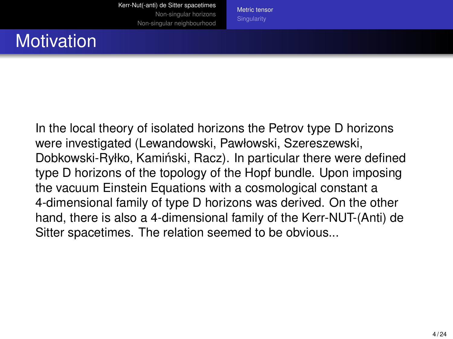[Metric tensor](#page-2-0)

# **Motivation**

In the local theory of isolated horizons the Petrov type D horizons were investigated (Lewandowski, Pawłowski, Szereszewski, Dobkowski-Ryłko, Kamiński, Racz). In particular there were defined type D horizons of the topology of the Hopf bundle. Upon imposing the vacuum Einstein Equations with a cosmological constant a 4-dimensional family of type D horizons was derived. On the other hand, there is also a 4-dimensional family of the Kerr-NUT-(Anti) de Sitter spacetimes. The relation seemed to be obvious...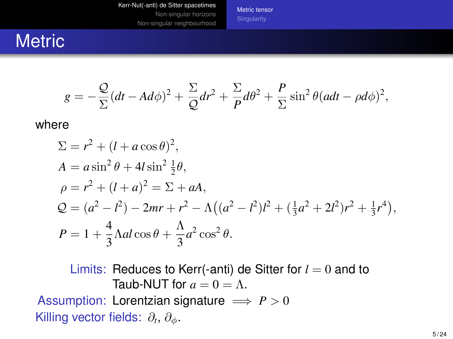[Metric tensor](#page-2-0)

#### **Metric**

$$
g = -\frac{Q}{\Sigma}(dt - Ad\phi)^2 + \frac{\Sigma}{Q}dr^2 + \frac{\Sigma}{P}d\theta^2 + \frac{P}{\Sigma}\sin^2\theta (adt - \rho d\phi)^2,
$$

where

$$
\Sigma = r^2 + (l + a\cos\theta)^2,
$$
  
\n
$$
A = a\sin^2\theta + 4l\sin^2\frac{1}{2}\theta,
$$
  
\n
$$
\rho = r^2 + (l + a)^2 = \Sigma + aA,
$$
  
\n
$$
\mathcal{Q} = (a^2 - l^2) - 2mr + r^2 - \Lambda((a^2 - l^2)l^2 + (\frac{1}{3}a^2 + 2l^2)r^2 + \frac{1}{3}r^4),
$$
  
\n
$$
P = 1 + \frac{4}{3}\Lambda al\cos\theta + \frac{\Lambda}{3}a^2\cos^2\theta.
$$

Limits: Reduces to Kerr(-anti) de Sitter for  $l = 0$  and to Taub-NUT for  $a = 0 = \Lambda$ . Assumption: Lorentzian signature  $\implies P > 0$ Killing vector fields:  $\partial_t$ ,  $\partial_\phi$ .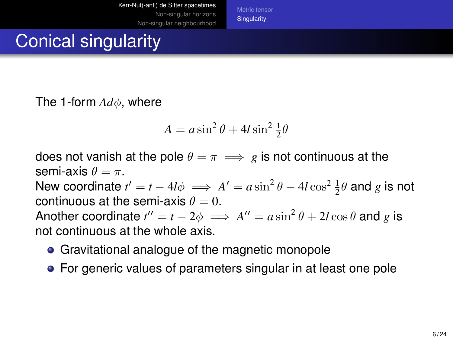[Metric tensor](#page-2-0) **[Singularity](#page-5-0)** 

# <span id="page-5-0"></span>Conical singularity

The 1-form *Ad*φ, where

$$
A = a\sin^2\theta + 4l\sin^2\frac{1}{2}\theta
$$

does not vanish at the pole  $\theta = \pi \implies g$  is not continuous at the semi-axis  $\theta = \pi$ .

New coordinate  $t' = t - 4l\phi \implies A' = a \sin^2 \theta - 4l \cos^2 \frac{1}{2} \theta$  and *g* is not continuous at the semi-axis  $\theta = 0$ .

Another coordinate  $t'' = t - 2\phi \implies A'' = a\sin^2\theta + 2l\cos\theta$  and  $g$  is not continuous at the whole axis.

- Gravitational analogue of the magnetic monopole
- For generic values of parameters singular in at least one pole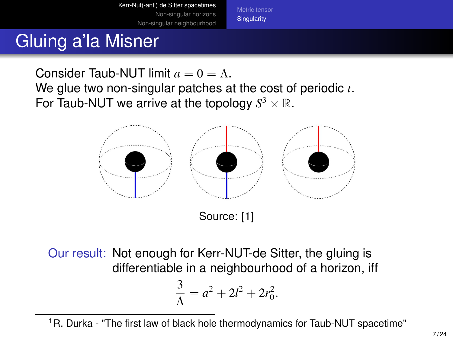**[Singularity](#page-5-0)** 

# Gluing a'la Misner

Consider Taub-NUT limit  $a = 0 = \Lambda$ . We glue two non-singular patches at the cost of periodic *t*. For Taub-NUT we arrive at the topology  $S^3 \times \mathbb{R}$ .



Source: [1]

Our result: Not enough for Kerr-NUT-de Sitter, the gluing is differentiable in a neighbourhood of a horizon, iff

$$
\frac{3}{\Lambda} = a^2 + 2l^2 + 2r_0^2.
$$

<sup>1</sup>R. Durka - "The first law of black hole thermodynamics for Taub-NUT spacetime"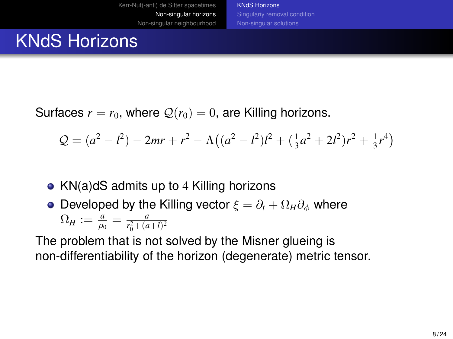[KNdS Horizons](#page-7-0) [Singulariy removal condition](#page-11-0) [Non-singular solutions](#page-13-0)

# <span id="page-7-0"></span>KNdS Horizons

Surfaces  $r = r_0$ , where  $Q(r_0) = 0$ , are Killing horizons.

$$
Q = (a2 – l2) – 2mr + r2 – \Lambda((a2 – l2)l2 + (\frac{1}{3}a2 + 2l2)r2 + \frac{1}{3}r4)
$$

- KN(a)dS admits up to 4 Killing horizons
- **•** Developed by the Killing vector  $\xi = \partial_t + \Omega_H \partial_\phi$  where  $\Omega_H := \frac{a}{\rho_0} = \frac{a}{r_0^2 + (a+l)^2}$

The problem that is not solved by the Misner glueing is non-differentiability of the horizon (degenerate) metric tensor.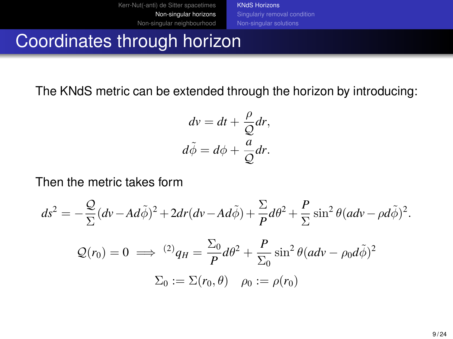[KNdS Horizons](#page-7-0) [Non-singular solutions](#page-13-0)

#### Coordinates through horizon

The KNdS metric can be extended through the horizon by introducing:

$$
dv = dt + \frac{\rho}{Q} dr,
$$
  

$$
d\tilde{\phi} = d\phi + \frac{a}{Q} dr.
$$

Then the metric takes form

$$
ds^{2} = -\frac{Q}{\Sigma}(dv - Ad\tilde{\phi})^{2} + 2dr(dv - Ad\tilde{\phi}) + \frac{\Sigma}{P}d\theta^{2} + \frac{P}{\Sigma}\sin^{2}\theta (adv - \rho d\tilde{\phi})^{2}.
$$
  

$$
Q(r_{0}) = 0 \implies {}^{(2)}q_{H} = \frac{\Sigma_{0}}{P}d\theta^{2} + \frac{P}{\Sigma_{0}}\sin^{2}\theta (adv - \rho_{0}d\tilde{\phi})^{2}
$$
  

$$
\Sigma_{0} := \Sigma(r_{0}, \theta) \quad \rho_{0} := \rho(r_{0})
$$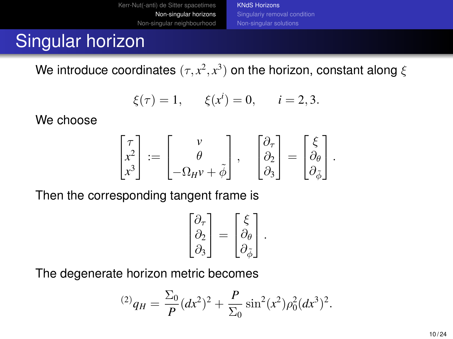[Kerr-Nut\(-anti\) de Sitter spacetimes](#page-2-0) [Non-singular horizons](#page-7-0) [Non-singular neighbourhood](#page-15-0) [KNdS Horizons](#page-7-0) [Non-singular solutions](#page-13-0)

# Singular horizon

We introduce coordinates  $(\tau,x^2,x^3)$  on the horizon, constant along  $\xi$ 

$$
\xi(\tau) = 1,
$$
  $\xi(x^i) = 0,$   $i = 2, 3.$ 

We choose

$$
\begin{bmatrix} \tau \\ x^2 \\ x^3 \end{bmatrix} := \begin{bmatrix} v \\ \theta \\ -\Omega_H v + \tilde{\phi} \end{bmatrix}, \quad \begin{bmatrix} \partial_\tau \\ \partial_2 \\ \partial_3 \end{bmatrix} = \begin{bmatrix} \xi \\ \partial_\theta \\ \partial_{\tilde{\phi}} \end{bmatrix}.
$$

Then the corresponding tangent frame is

$$
\begin{bmatrix} \partial_{\tau} \\ \partial_{2} \\ \partial_{3} \end{bmatrix} = \begin{bmatrix} \xi \\ \partial_{\theta} \\ \partial_{\tilde{\phi}} \end{bmatrix}.
$$

The degenerate horizon metric becomes

$$
^{(2)}q_{H} = \frac{\Sigma_{0}}{P}(dx^{2})^{2} + \frac{P}{\Sigma_{0}}\sin^{2}(x^{2})\rho_{0}^{2}(dx^{3})^{2}.
$$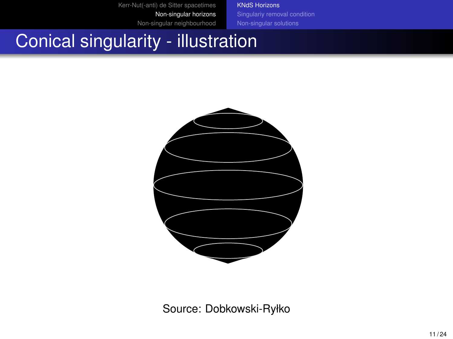[KNdS Horizons](#page-7-0)

[Non-singular solutions](#page-13-0)

#### Conical singularity - illustration



Source: Dobkowski-Ryłko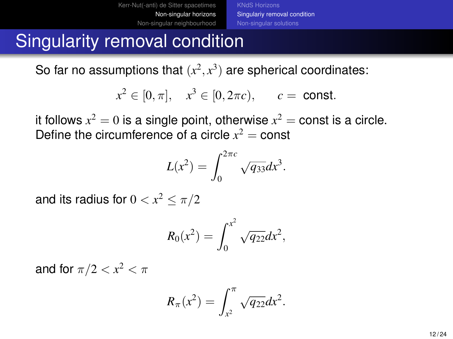[Kerr-Nut\(-anti\) de Sitter spacetimes](#page-2-0) [Non-singular horizons](#page-7-0) [Non-singular neighbourhood](#page-15-0) [KNdS Horizons](#page-7-0) [Singulariy removal condition](#page-11-0) [Non-singular solutions](#page-13-0)

#### <span id="page-11-0"></span>Singularity removal condition

So far no assumptions that  $(x^2, x^3)$  are spherical coordinates:

$$
x^2 \in [0, \pi], \quad x^3 \in [0, 2\pi c), \quad c = \text{const.}
$$

it follows  $x^2=0$  is a single point, otherwise  $x^2=\mathsf{const}$  is a circle. Define the circumference of a circle  $x^2 = \text{const}$ 

$$
L(x^2) = \int_0^{2\pi c} \sqrt{q_{33}} dx^3.
$$

and its radius for  $0 < x^2 \leq \pi/2$ 

$$
R_0(x^2) = \int_0^{x^2} \sqrt{q_{22}} dx^2,
$$

and for  $\pi/2 < x^2 < \pi$ 

$$
R_{\pi}(x^2) = \int_{x^2}^{\pi} \sqrt{q_{22}} dx^2.
$$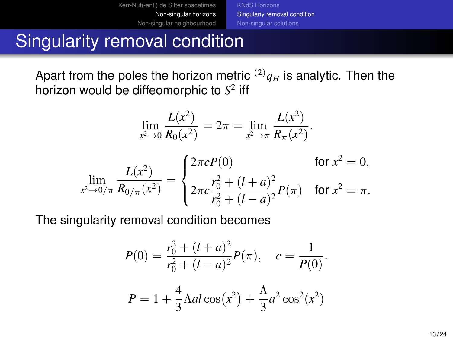[Kerr-Nut\(-anti\) de Sitter spacetimes](#page-2-0) [Non-singular horizons](#page-7-0) [Non-singular neighbourhood](#page-15-0) [KNdS Horizons](#page-7-0) [Singulariy removal condition](#page-11-0) [Non-singular solutions](#page-13-0)

#### Singularity removal condition

Apart from the poles the horizon metric  $^{(2)}q_H$  is analytic. Then the horizon would be diffeomorphic to *S* 2 iff

$$
\lim_{x^2 \to 0} \frac{L(x^2)}{R_0(x^2)} = 2\pi = \lim_{x^2 \to \pi} \frac{L(x^2)}{R_\pi(x^2)}.
$$

$$
\lim_{x^2 \to 0/\pi} \frac{L(x^2)}{R_{0/\pi}(x^2)} = \begin{cases} 2\pi c P(0) & \text{for } x^2 = 0, \\ 2\pi c \frac{r_0^2 + (l+a)^2}{r_0^2 + (l-a)^2} P(\pi) & \text{for } x^2 = \pi. \end{cases}
$$

The singularity removal condition becomes

$$
P(0) = \frac{r_0^2 + (l+a)^2}{r_0^2 + (l-a)^2} P(\pi), \quad c = \frac{1}{P(0)}.
$$
  

$$
P = 1 + \frac{4}{3} \Lambda a l \cos(x^2) + \frac{\Lambda}{3} a^2 \cos^2(x^2)
$$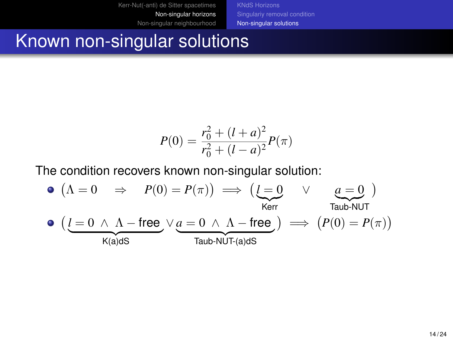[Non-singular solutions](#page-13-0)

#### <span id="page-13-0"></span>Known non-singular solutions

$$
P(0) = \frac{r_0^2 + (l+a)^2}{r_0^2 + (l-a)^2} P(\pi)
$$

The condition recovers known non-singular solution:

$$
\begin{array}{lcl} \bullet \; \big( \Lambda = 0 & \Rightarrow & P(0) = P(\pi) \big) \implies \big( \underbrace{l = 0}_{\text{Kerr}} & \vee & \underbrace{a = 0}_{\text{Taub-NUT}} \big) \\ \bullet \; \big( \underbrace{l = 0 \; \wedge \; \Lambda - \text{free}}_{\text{K(a)dS}} \vee \underbrace{a = 0 \; \wedge \; \Lambda - \text{free}}_{\text{Taub-NUT}(a)dS} \big) \implies \big( P(0) = P(\pi) \big) \end{array}
$$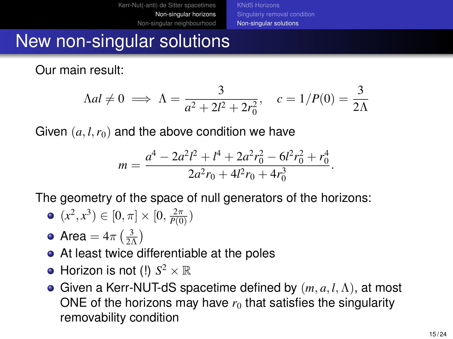[KNdS Horizons](#page-7-0) [Singulariy removal condition](#page-11-0) [Non-singular solutions](#page-13-0)

#### New non-singular solutions

Our main result:

$$
\Lambda al \neq 0 \implies \Lambda = \frac{3}{a^2 + 2l^2 + 2r_0^2}, \quad c = 1/P(0) = \frac{3}{2\Lambda}
$$

Given  $(a, l, r_0)$  and the above condition we have

$$
m = \frac{a^4 - 2a^2l^2 + l^4 + 2a^2r_0^2 - 6l^2r_0^2 + r_0^4}{2a^2r_0 + 4l^2r_0 + 4r_0^3}.
$$

The geometry of the space of null generators of the horizons:

• 
$$
(x^2, x^3) \in [0, \pi] \times [0, \frac{2\pi}{P(0)})
$$

- Area =  $4\pi \left(\frac{3}{2\Lambda}\right)$
- At least twice differentiable at the poles
- Horizon is not (!)  $S^2 \times \mathbb{R}$
- Given a Kerr-NUT-dS spacetime defined by (*m*, *a*, *l*,Λ), at most ONE of the horizons may have  $r_0$  that satisfies the singularity removability condition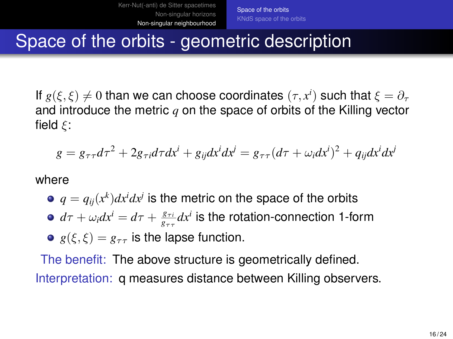#### <span id="page-15-0"></span>Space of the orbits - geometric description

If  $g(\xi, \xi) \neq 0$  than we can choose coordinates  $(\tau, x^i)$  such that  $\xi = \partial_\tau$ and introduce the metric *q* on the space of orbits of the Killing vector field  $\xi$ :

$$
g = g_{\tau\tau}d\tau^2 + 2g_{\tau i}d\tau dx^i + g_{ij}dx^i dx^j = g_{\tau\tau}(d\tau + \omega_i dx^i)^2 + q_{ij}dx^i dx^j
$$

where

- $q = q_{ij}(x^k)dx^idx^j$  is the metric on the space of the orbits
- $d\tau + \omega_i dx^i = d\tau + \frac{g_{\tau i}}{g_{\tau \tau}} dx^i$  is the rotation-connection 1-form
- $g(\xi, \xi) = g_{\tau\tau}$  is the lapse function.

The benefit: The above structure is geometrically defined. Interpretation: q measures distance between Killing observers.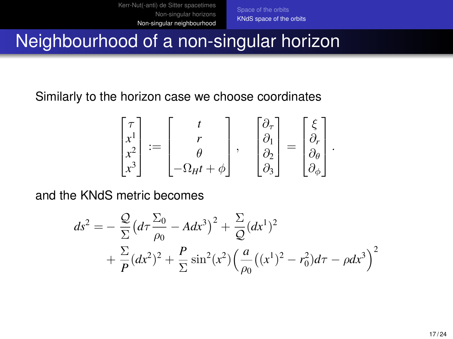[Space of the orbits](#page-15-0) [KNdS space of the orbits](#page-16-0)

.

#### <span id="page-16-0"></span>Neighbourhood of a non-singular horizon

Similarly to the horizon case we choose coordinates

$$
\begin{bmatrix} \tau \\ x^1 \\ x^2 \\ x^3 \end{bmatrix} := \begin{bmatrix} t \\ r \\ \theta \\ -\Omega_H t + \phi \end{bmatrix}, \quad \begin{bmatrix} \partial_{\tau} \\ \partial_1 \\ \partial_2 \\ \partial_3 \end{bmatrix} = \begin{bmatrix} \xi \\ \partial_r \\ \partial_\theta \\ \partial_\phi \end{bmatrix}
$$

and the KNdS metric becomes

$$
ds^{2} = -\frac{Q}{\Sigma} \left( d\tau \frac{\Sigma_{0}}{\rho_{0}} - A dx^{3} \right)^{2} + \frac{\Sigma}{Q} (dx^{1})^{2} + \frac{\Sigma}{P} (dx^{2})^{2} + \frac{P}{\Sigma} \sin^{2}(x^{2}) \left( \frac{a}{\rho_{0}} \left( (x^{1})^{2} - r_{0}^{2} \right) d\tau - \rho dx^{3} \right)^{2}
$$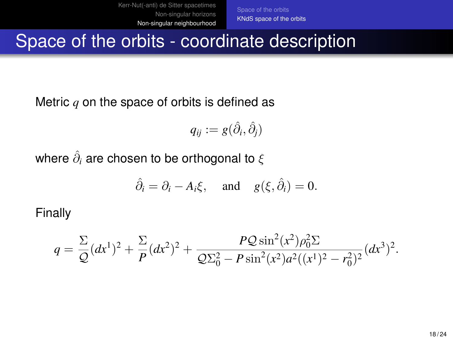[Space of the orbits](#page-15-0) [KNdS space of the orbits](#page-16-0)

#### Space of the orbits - coordinate description

Metric *q* on the space of orbits is defined as

$$
q_{ij} := g(\hat{\partial}_i, \hat{\partial}_j)
$$

where  $\hat{\partial}_{i}$  are chosen to be orthogonal to  $\xi$ 

$$
\hat{\partial}_i = \partial_i - A_i \xi
$$
, and  $g(\xi, \hat{\partial}_i) = 0$ .

Finally

$$
q = \frac{\Sigma}{\mathcal{Q}}(dx^1)^2 + \frac{\Sigma}{P}(dx^2)^2 + \frac{P\mathcal{Q}\sin^2(x^2)\rho_0^2\Sigma}{\mathcal{Q}\Sigma_0^2 - P\sin^2(x^2)a^2((x^1)^2 - r_0^2)^2}(dx^3)^2.
$$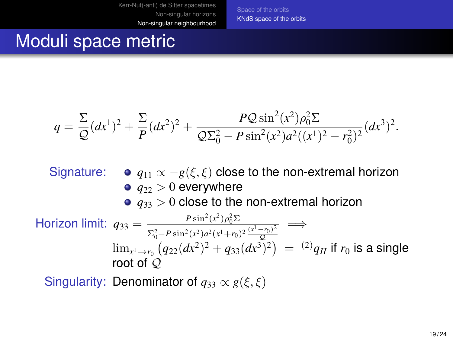[Space of the orbits](#page-15-0) [KNdS space of the orbits](#page-16-0)

#### Moduli space metric

$$
q = \frac{\Sigma}{\mathcal{Q}}(dx^1)^2 + \frac{\Sigma}{P}(dx^2)^2 + \frac{P\mathcal{Q}\sin^2(x^2)\rho_0^2\Sigma}{\mathcal{Q}\Sigma_0^2 - P\sin^2(x^2)a^2((x^1)^2 - r_0^2)^2}(dx^3)^2.
$$

- Signature:  $\bullet$   $q_{11} \propto -g(\xi, \xi)$  close to the non-extremal horizon  $q_{22} > 0$  everywhere
	- $q_{33}$   $>$  0 close to the non-extremal horizon

$$
\begin{array}{ll}\n\text{Horizon limit:} & q_{33} = \frac{P \sin^2(x^2) \rho_0^2 \Sigma}{\Sigma_0^2 - P \sin^2(x^2) a^2 (x^1 + r_0)^2 \frac{(x^1 - r_0)^2}{\mathcal{Q}}} \implies \\
& \lim_{x^1 \to r_0} \left( q_{22} (dx^2)^2 + q_{33} (dx^3)^2 \right) = \n\end{array} \implies \text{mod of } \mathcal{Q}
$$

Singularity: Denominator of  $q_{33} \propto g(\xi, \xi)$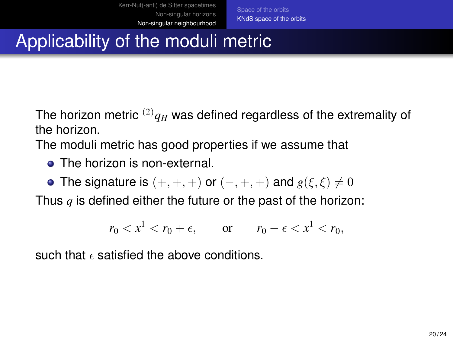# Applicability of the moduli metric

The horizon metric  $^{(2)}q_H$  was defined regardless of the extremality of the horizon.

The moduli metric has good properties if we assume that

- **The horizon is non-external.**
- The signature is  $(+, +, +)$  or  $(-, +, +)$  and  $g(\xi, \xi) \neq 0$

Thus *q* is defined either the future or the past of the horizon:

$$
r_0 < x^1 < r_0 + \epsilon, \qquad \text{or} \qquad r_0 - \epsilon < x^1 < r_0,
$$

such that  $\epsilon$  satisfied the above conditions.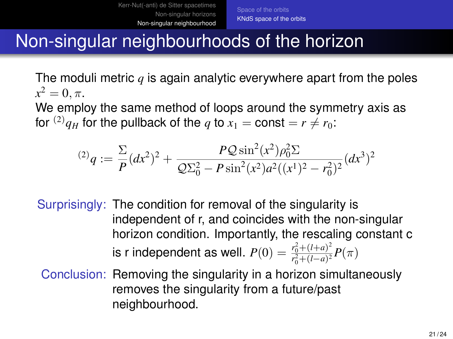### Non-singular neighbourhoods of the horizon

The moduli metric *q* is again analytic everywhere apart from the poles  $x^2 = 0, \pi.$ 

We employ the same method of loops around the symmetry axis as for <sup>(2)</sup> $q_H$  for the pullback of the *q* to  $x_1 = \text{const} = r \neq r_0$ :

$$
^{(2)}q := \frac{\Sigma}{P}(dx^2)^2 + \frac{PQ\sin^2(x^2)\rho_0^2\Sigma}{Q\Sigma_0^2 - P\sin^2(x^2)a^2((x^1)^2 - r_0^2)^2}(dx^3)^2
$$

Surprisingly: The condition for removal of the singularity is independent of r, and coincides with the non-singular horizon condition. Importantly, the rescaling constant c is r independent as well.  $P(0) = \frac{r_0^2 + (l+a)^2}{r^2 + (l-a)^2}$  $\frac{r_0 + (l+a)}{r_0^2 + (l-a)^2} P(\pi)$ 

Conclusion: Removing the singularity in a horizon simultaneously removes the singularity from a future/past neighbourhood.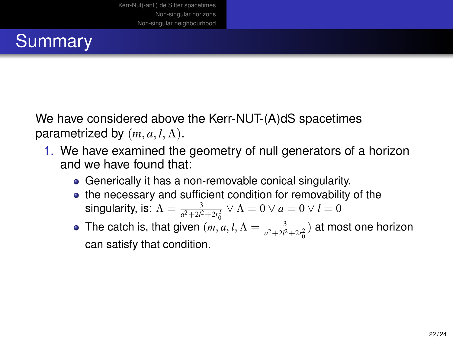# **Summary**

We have considered above the Kerr-NUT-(A)dS spacetimes parametrized by  $(m, a, l, \Lambda)$ .

- 1. We have examined the geometry of null generators of a horizon and we have found that:
	- Generically it has a non-removable conical singularity.
	- the necessary and sufficient condition for removability of the singularity, is:  $\Lambda = \frac{3}{a^2 + 2l^2 + 2r_0^2} \vee \Lambda = 0 \vee a = 0 \vee l = 0$
	- The catch is, that given  $(m, a, l, \Lambda = \frac{3}{a^2 + 2l^2 + 2r_0^2})$  at most one horizon 0 can satisfy that condition.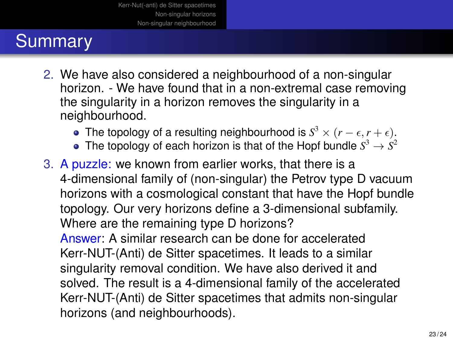# **Summary**

- 2. We have also considered a neighbourhood of a non-singular horizon. - We have found that in a non-extremal case removing the singularity in a horizon removes the singularity in a neighbourhood.
	- The topology of a resulting neighbourhood is  $S^3 \times (r \epsilon, r + \epsilon)$ .
	- The topology of each horizon is that of the Hopf bundle  $S^3\to S^2$

3. A puzzle: we known from earlier works, that there is a 4-dimensional family of (non-singular) the Petrov type D vacuum horizons with a cosmological constant that have the Hopf bundle topology. Our very horizons define a 3-dimensional subfamily. Where are the remaining type D horizons?

Answer: A similar research can be done for accelerated Kerr-NUT-(Anti) de Sitter spacetimes. It leads to a similar singularity removal condition. We have also derived it and solved. The result is a 4-dimensional family of the accelerated Kerr-NUT-(Anti) de Sitter spacetimes that admits non-singular horizons (and neighbourhoods).